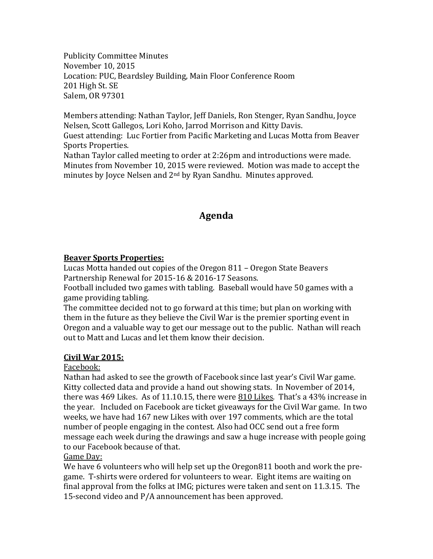Publicity Committee Minutes November 10, 2015 Location: PUC, Beardsley Building, Main Floor Conference Room 201 High St. SE Salem, OR 97301

Members attending: Nathan Taylor, Jeff Daniels, Ron Stenger, Ryan Sandhu, Joyce Nelsen, Scott Gallegos, Lori Koho, Jarrod Morrison and Kitty Davis. Guest attending: Luc Fortier from Pacific Marketing and Lucas Motta from Beaver

Sports Properties. Nathan Taylor called meeting to order at 2:26pm and introductions were made.

Minutes from November 10, 2015 were reviewed. Motion was made to accept the minutes by Joyce Nelsen and 2nd by Ryan Sandhu. Minutes approved.

# **Agenda**

## **Beaver Sports Properties:**

Lucas Motta handed out copies of the Oregon 811 – Oregon State Beavers Partnership Renewal for 2015-16 & 2016-17 Seasons.

Football included two games with tabling. Baseball would have 50 games with a game providing tabling.

The committee decided not to go forward at this time; but plan on working with them in the future as they believe the Civil War is the premier sporting event in Oregon and a valuable way to get our message out to the public. Nathan will reach out to Matt and Lucas and let them know their decision.

## **Civil War 2015:**

## Facebook:

Nathan had asked to see the growth of Facebook since last year's Civil War game. Kitty collected data and provide a hand out showing stats. In November of 2014, there was 469 Likes. As of 11.10.15, there were  $810$  Likes. That's a 43% increase in the year. Included on Facebook are ticket giveaways for the Civil War game. In two weeks, we have had 167 new Likes with over 197 comments, which are the total number of people engaging in the contest. Also had OCC send out a free form message each week during the drawings and saw a huge increase with people going to our Facebook because of that.

## Game Day:

We have 6 volunteers who will help set up the Oregon811 booth and work the pregame. T-shirts were ordered for volunteers to wear. Eight items are waiting on final approval from the folks at IMG; pictures were taken and sent on 11.3.15. The 15-second video and P/A announcement has been approved.